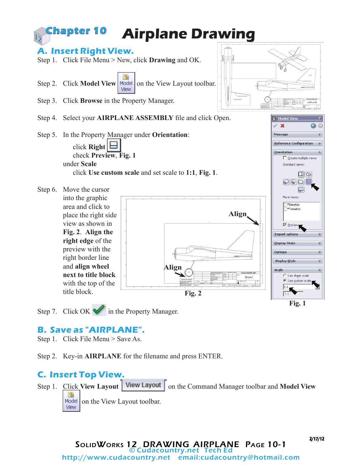

**B. Save as "AIRPLANE".**

Step 1. Click File Menu > Save As.

Step 2. Key-in **AIRPLANE** for the filename and press ENTER.

## **C. Insert Top View.**

Step 1. Click **View Layout | View Layout** | on the Command Manager toolbar and Model View  $\mathfrak{B}$ Model on the View Layout toolbar. View

2/17/12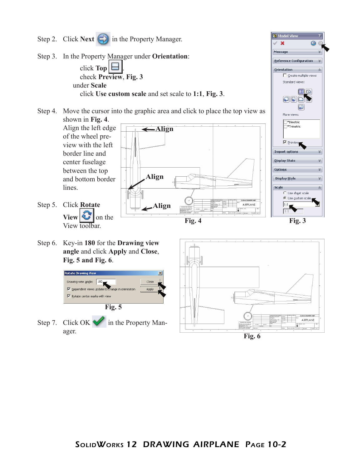

**Fig. 6**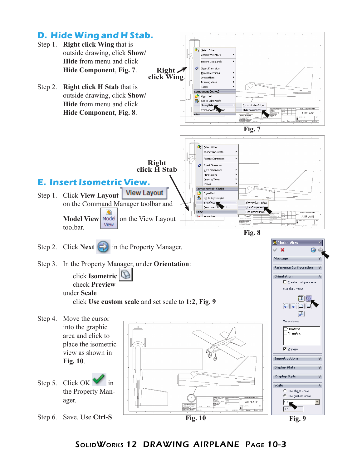

SolidWorks 12 DRAWING AIRPLANE Page 10-3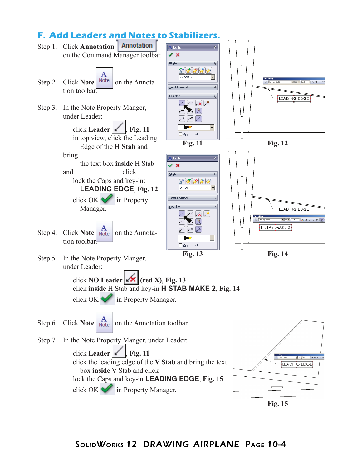## **F. Add Leaders and Notes to Stabilizers.**



**Fig. 15**

## SolidWorks 12 DRAWING AIRPLANE Page 10-4